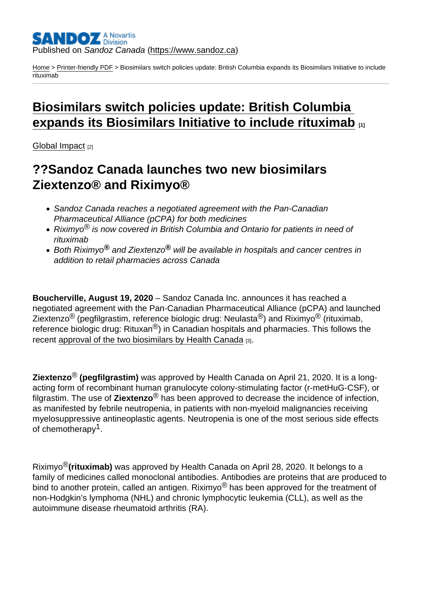#### Published on Sandoz Canada [\(https://www.sandoz.ca](https://www.sandoz.ca))

[Home](https://www.sandoz.ca/en) > [Printer-friendly PDF](https://www.sandoz.ca/en/printpdf) > Biosimilars switch policies update: British Columbia expands its Biosimilars Initiative to include rituximab

# [Biosimilars switch policies update: British Columbia](https://www.sandoz.ca/en/stories/global-impact/launch-twobiosimilars)  [expands its Biosimilars Initiative to include rituximab](https://www.sandoz.ca/en/stories/global-impact/launch-twobiosimilars) **[11]**

[Global Impact](https://www.sandoz.ca/en/stories/global-impact) [2]

## ??Sandoz Canada launches two new biosimilars Ziextenzo® and Riximyo®

- Sandoz Canada reaches a negotiated agreement with the Pan-Canadian Pharmaceutical Alliance (pCPA) for both medicines
- Riximyo<sup>®</sup> is now covered in British Columbia and Ontario for patients in need of rituximab
- Both Riximyo $^{\circledR}$  and Ziextenzo $^{\circledR}$  will be available in hospitals and cancer centres in addition to retail pharmacies across Canada

Boucherville, August 19, 2020 – Sandoz Canada Inc. announces it has reached a negotiated agreement with the Pan-Canadian Pharmaceutical Alliance (pCPA) and launched Ziextenzo<sup>®</sup> (pegfilgrastim, reference biologic drug: Neulasta<sup>®</sup>) and Riximyo<sup>®</sup> (rituximab, reference biologic drug: Rituxan<sup>®</sup>) in Canadian hospitals and pharmacies. This follows the recent approval of the two biosimilars by Health Canada [3].

Ziextenzo  $\mathcal{B}$  (pegfilgrastim) was approved by Health Canada on April 21, 2020. It is a longacting form of recombinant human granulocyte colony-stimulating factor (r-metHuG-CSF), or filgrastim. The use of Ziextenzo ® has been approved to decrease the incidence of infection, as manifested by febrile neutropenia, in patients with non-myeloid malignancies receiving myelosuppressive antineoplastic agents. Neutropenia is one of the most serious side effects of chemotherapy<sup>1</sup>.

Riximvo<sup>®</sup>(rituximab) was approved by Health Canada on April 28, 2020. It belongs to a family of medicines called monoclonal antibodies. Antibodies are proteins that are produced to bind to another protein, called an antigen. Riximyo $^{\circledR}$  has been approved for the treatment of non-Hodgkin's lymphoma (NHL) and chronic lymphocytic leukemia (CLL), as well as the autoimmune disease rheumatoid arthritis (RA).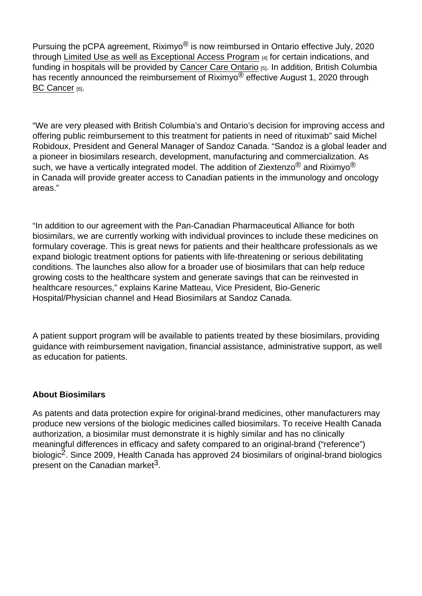Pursuing the pCPA agreement, Riximyo<sup>®</sup> is now reimbursed in Ontario effective July, 2020 through Limited Use as well as Exceptional Access Program [4] for certain indications, and funding in hospitals will be provided by Cancer Care Ontario [5]. In addition, British Columbia has recently announced the reimbursement of Riximyo<sup>®</sup> effective August 1, 2020 through BC Cancer [6].

"We are very pleased with British Columbia's and Ontario's decision for improving access and offering public reimbursement to this treatment for patients in need of rituximab" said Michel Robidoux, President and General Manager of Sandoz Canada. "Sandoz is a global leader and a pioneer in biosimilars research, development, manufacturing and commercialization. As such, we have a vertically integrated model. The addition of Ziextenzo<sup>®</sup> and Riximvo<sup>®</sup> in Canada will provide greater access to Canadian patients in the immunology and oncology areas."

"In addition to our agreement with the Pan-Canadian Pharmaceutical Alliance for both biosimilars, we are currently working with individual provinces to include these medicines on formulary coverage. This is great news for patients and their healthcare professionals as we expand biologic treatment options for patients with life-threatening or serious debilitating conditions. The launches also allow for a broader use of biosimilars that can help reduce growing costs to the healthcare system and generate savings that can be reinvested in healthcare resources," explains Karine Matteau, Vice President, Bio-Generic Hospital/Physician channel and Head Biosimilars at Sandoz Canada.

A patient support program will be available to patients treated by these biosimilars, providing guidance with reimbursement navigation, financial assistance, administrative support, as well as education for patients.

#### About Biosimilars

As patents and data protection expire for original-brand medicines, other manufacturers may produce new versions of the biologic medicines called biosimilars. To receive Health Canada authorization, a biosimilar must demonstrate it is highly similar and has no clinically meaningful differences in efficacy and safety compared to an original-brand ("reference") biologic<sup>2</sup>. Since 2009, Health Canada has approved 24 biosimilars of original-brand biologics present on the Canadian market<sup>3</sup>.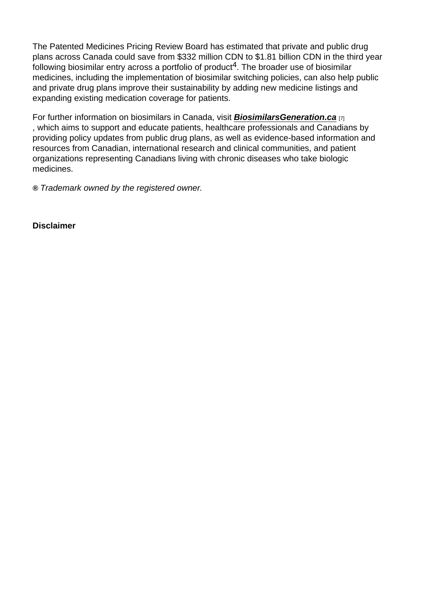The Patented Medicines Pricing Review Board has estimated that private and public drug plans across Canada could save from \$332 million CDN to \$1.81 billion CDN in the third year following biosimilar entry across a portfolio of product<sup>4</sup>. The broader use of biosimilar medicines, including the implementation of biosimilar switching policies, can also help public and private drug plans improve their sustainability by adding new medicine listings and expanding existing medication coverage for patients.

For further information on biosimilars in Canada, visit BiosimilarsGeneration.ca  $_{[7]}$ , which aims to support and educate patients, healthcare professionals and Canadians by providing policy updates from public drug plans, as well as evidence-based information and resources from Canadian, international research and clinical communities, and patient organizations representing Canadians living with chronic diseases who take biologic medicines.

® Trademark owned by the registered owner.

**Disclaimer**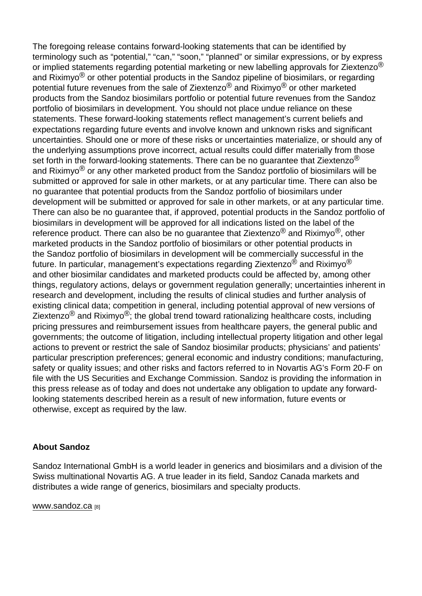The foregoing release contains forward-looking statements that can be identified by terminology such as "potential," "can," "soon," "planned" or similar expressions, or by express or implied statements regarding potential marketing or new labelling approvals for Ziextenzo<sup>®</sup> and Riximyo $<sup>®</sup>$  or other potential products in the Sandoz pipeline of biosimilars, or regarding</sup> potential future revenues from the sale of Ziextenzo® and Riximyo® or other marketed products from the Sandoz biosimilars portfolio or potential future revenues from the Sandoz portfolio of biosimilars in development. You should not place undue reliance on these statements. These forward-looking statements reflect management's current beliefs and expectations regarding future events and involve known and unknown risks and significant uncertainties. Should one or more of these risks or uncertainties materialize, or should any of the underlying assumptions prove incorrect, actual results could differ materially from those set forth in the forward-looking statements. There can be no quarantee that Ziextenzo<sup>®</sup> and Riximyo $^{\circledR}$  or any other marketed product from the Sandoz portfolio of biosimilars will be submitted or approved for sale in other markets, or at any particular time. There can also be no guarantee that potential products from the Sandoz portfolio of biosimilars under development will be submitted or approved for sale in other markets, or at any particular time. There can also be no guarantee that, if approved, potential products in the Sandoz portfolio of biosimilars in development will be approved for all indications listed on the label of the reference product. There can also be no quarantee that Ziextenzo<sup>®</sup> and Riximyo<sup>®</sup>, other marketed products in the Sandoz portfolio of biosimilars or other potential products in the Sandoz portfolio of biosimilars in development will be commercially successful in the future. In particular, management's expectations regarding Ziextenzo<sup>®</sup> and Riximyo<sup>®</sup> and other biosimilar candidates and marketed products could be affected by, among other things, regulatory actions, delays or government regulation generally; uncertainties inherent in research and development, including the results of clinical studies and further analysis of existing clinical data; competition in general, including potential approval of new versions of Ziextenzo® and Riximyo®; the global trend toward rationalizing healthcare costs, including pricing pressures and reimbursement issues from healthcare payers, the general public and governments; the outcome of litigation, including intellectual property litigation and other legal actions to prevent or restrict the sale of Sandoz biosimilar products; physicians' and patients' particular prescription preferences; general economic and industry conditions; manufacturing, safety or quality issues; and other risks and factors referred to in Novartis AG's Form 20-F on file with the US Securities and Exchange Commission. Sandoz is providing the information in this press release as of today and does not undertake any obligation to update any forwardlooking statements described herein as a result of new information, future events or otherwise, except as required by the law.

#### About Sandoz

Sandoz International GmbH is a world leader in generics and biosimilars and a division of the Swiss multinational Novartis AG. A true leader in its field, Sandoz Canada markets and distributes a wide range of generics, biosimilars and specialty products.

www.sandoz.ca [8]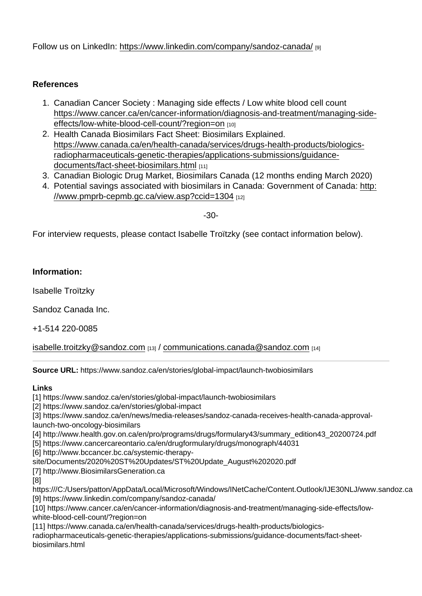Follow us on LinkedIn[:](https://www.linkedin.com/company/sandoz-canada/) https://www.linkedin.com/company/sandoz-canada/ [9]

### References

- 1. Canadian Cancer Society : Managing side effects / Low white blood cell count https://www.cancer.ca/en/cancer-information/diagnosis-and-treatment/managing-sideeffects/low-white-blood-cell-count/?region=on [10]
- 2. Health Canada Biosimilars Fact Sheet: Biosimilars Explained. https://www.canada.ca/en/health-canada/services/drugs-health-products/biologicsradiopharmaceuticals-genetic-therapies/applications-submissions/guidancedocuments/fact-sheet-biosimilars.html [11]
- 3. Canadian Biologic Drug Market, Biosimilars Canada (12 months ending March 2020)
- 4. Potential savings associated with biosimilars in Canada: Government of Canada: http: //www.pmprb-cepmb.gc.ca/view.asp?ccid=1304 [12]

-30-

For interview requests, please contact Isabelle Troïtzky (see contact information below).

Information:

Isabelle Troïtzky

Sandoz Canada Inc.

+1-514 220-0085

[isabelle.troitzky@sandoz.com](mailto:isabelle.troitzky@sandoz.com) [13] / [communications.canada@sandoz.com](mailto:communications.canada@sandoz.com) [14]

Source URL: https://www.sandoz.ca/en/stories/global-impact/launch-twobiosimilars

Links

[1] https://www.sandoz.ca/en/stories/global-impact/launch-twobiosimilars

[2] https://www.sandoz.ca/en/stories/global-impact

[3] https://www.sandoz.ca/en/news/media-releases/sandoz-canada-receives-health-canada-approvallaunch-two-oncology-biosimilars

[4] http://www.health.gov.on.ca/en/pro/programs/drugs/formulary43/summary\_edition43\_20200724.pdf

[5] https://www.cancercareontario.ca/en/drugformulary/drugs/monograph/44031

[6] http://www.bccancer.bc.ca/systemic-therapy-

site/Documents/2020%20ST%20Updates/ST%20Update\_August%202020.pdf

[7] http://www.BiosimilarsGeneration.ca

[8]

https:///C:/Users/patton/AppData/Local/Microsoft/Windows/INetCache/Content.Outlook/IJE30NLJ/www.sandoz.ca [9] https://www.linkedin.com/company/sandoz-canada/

[10] https://www.cancer.ca/en/cancer-information/diagnosis-and-treatment/managing-side-effects/lowwhite-blood-cell-count/?region=on

[11] https://www.canada.ca/en/health-canada/services/drugs-health-products/biologicsradiopharmaceuticals-genetic-therapies/applications-submissions/guidance-documents/fact-sheetbiosimilars.html